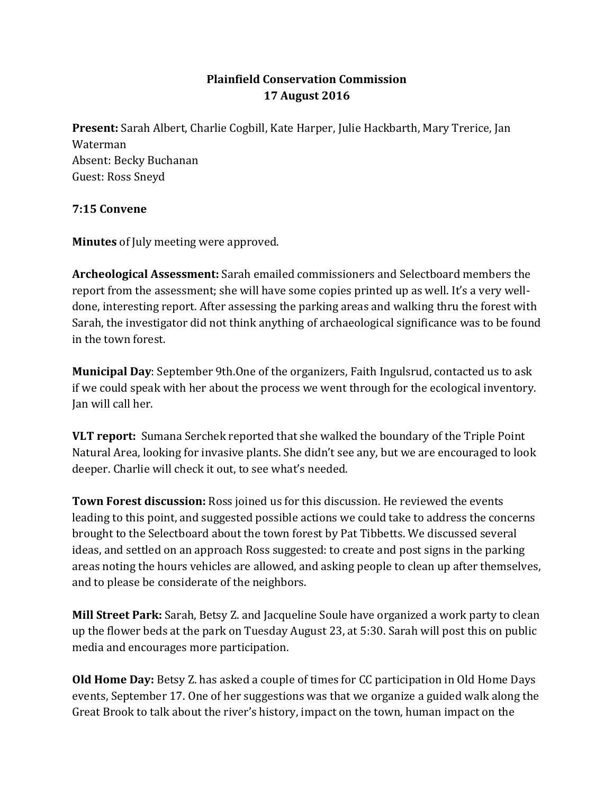## **Plainfield Conservation Commission 17 August 2016**

**Present:** Sarah Albert, Charlie Cogbill, Kate Harper, Julie Hackbarth, Mary Trerice, Jan Waterman Absent: Becky Buchanan Guest: Ross Sneyd

## **7:15 Convene**

**Minutes** of July meeting were approved.

**Archeological Assessment:** Sarah emailed commissioners and Selectboard members the report from the assessment; she will have some copies printed up as well. It's a very welldone, interesting report. After assessing the parking areas and walking thru the forest with Sarah, the investigator did not think anything of archaeological significance was to be found in the town forest.

**Municipal Day**: September 9th.One of the organizers, Faith Ingulsrud, contacted us to ask if we could speak with her about the process we went through for the ecological inventory. Jan will call her.

**VLT report:** Sumana Serchek reported that she walked the boundary of the Triple Point Natural Area, looking for invasive plants. She didn't see any, but we are encouraged to look deeper. Charlie will check it out, to see what's needed.

**Town Forest discussion:** Ross joined us for this discussion. He reviewed the events leading to this point, and suggested possible actions we could take to address the concerns brought to the Selectboard about the town forest by Pat Tibbetts. We discussed several ideas, and settled on an approach Ross suggested: to create and post signs in the parking areas noting the hours vehicles are allowed, and asking people to clean up after themselves, and to please be considerate of the neighbors.

**Mill Street Park:** Sarah, Betsy Z. and Jacqueline Soule have organized a work party to clean up the flower beds at the park on Tuesday August 23, at 5:30. Sarah will post this on public media and encourages more participation.

**Old Home Day:** Betsy Z. has asked a couple of times for CC participation in Old Home Days events, September 17. One of her suggestions was that we organize a guided walk along the Great Brook to talk about the river's history, impact on the town, human impact on the